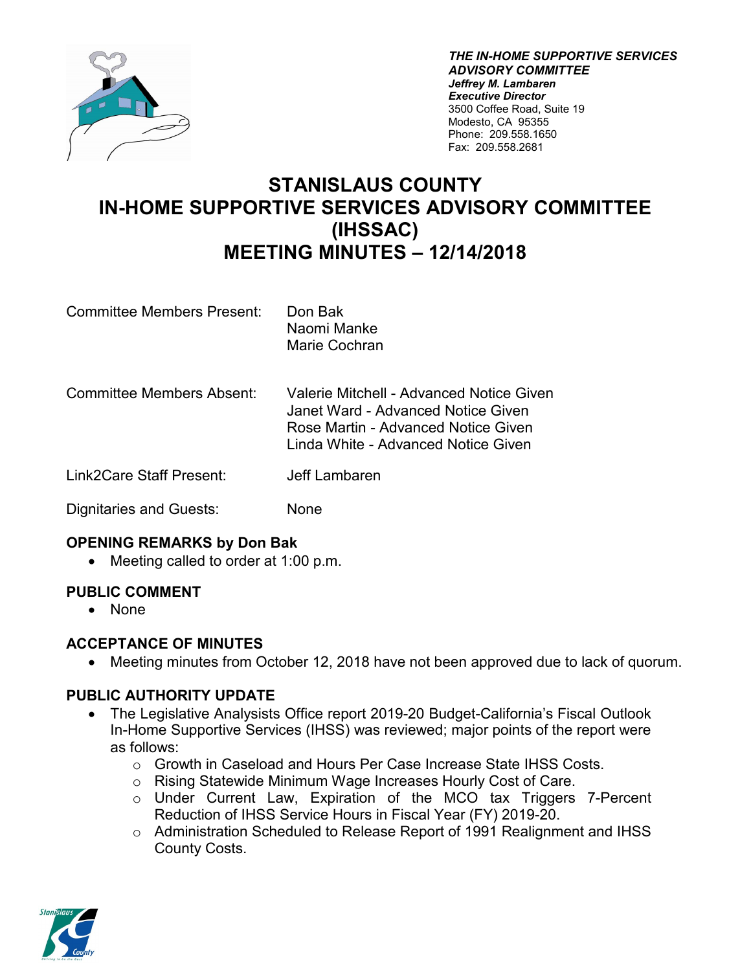

*THE IN-HOME SUPPORTIVE SERVICES ADVISORY COMMITTEE Jeffrey M. Lambaren Executive Director* 3500 Coffee Road, Suite 19 Modesto, CA 95355 Phone: 209.558.1650 Fax: 209.558.2681

# **STANISLAUS COUNTY IN-HOME SUPPORTIVE SERVICES ADVISORY COMMITTEE (IHSSAC) MEETING MINUTES – 12/14/2018**

- Committee Members Present: Don Bak Naomi Manke Marie Cochran
- Committee Members Absent: Valerie Mitchell Advanced Notice Given Janet Ward - Advanced Notice Given Rose Martin - Advanced Notice Given Linda White - Advanced Notice Given
- Link2Care Staff Present: Jeff Lambaren

Dignitaries and Guests: None

## **OPENING REMARKS by Don Bak**

• Meeting called to order at 1:00 p.m.

# **PUBLIC COMMENT**

• None

# **ACCEPTANCE OF MINUTES**

• Meeting minutes from October 12, 2018 have not been approved due to lack of quorum.

# **PUBLIC AUTHORITY UPDATE**

- The Legislative Analysists Office report 2019-20 Budget-California's Fiscal Outlook In-Home Supportive Services (IHSS) was reviewed; major points of the report were as follows:
	- o Growth in Caseload and Hours Per Case Increase State IHSS Costs.
	- o Rising Statewide Minimum Wage Increases Hourly Cost of Care.
	- o Under Current Law, Expiration of the MCO tax Triggers 7-Percent Reduction of IHSS Service Hours in Fiscal Year (FY) 2019-20.
	- o Administration Scheduled to Release Report of 1991 Realignment and IHSS County Costs.